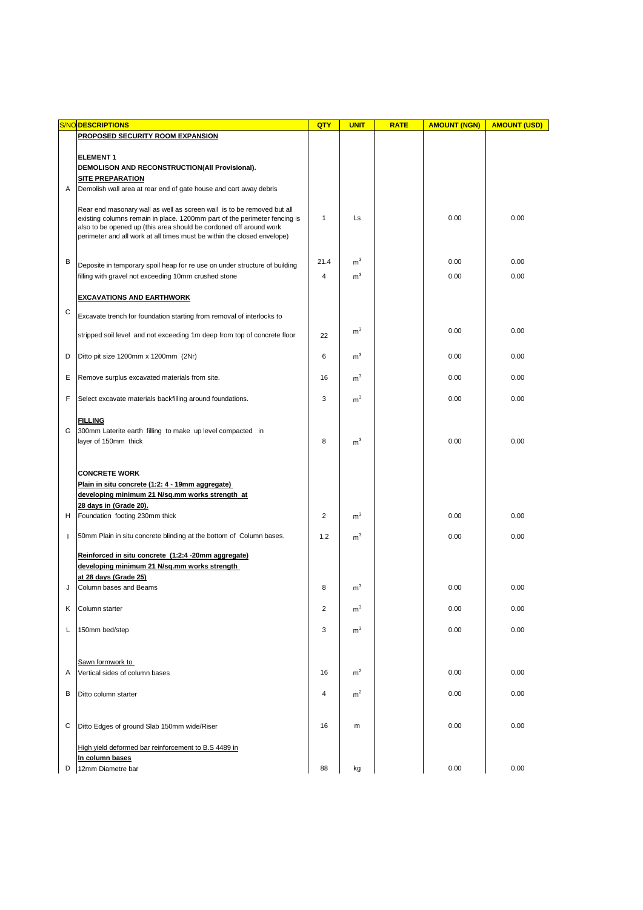|              | <b>S/NO DESCRIPTIONS</b>                                                                                                                        | QTY            | <b>UNIT</b>    | <b>RATE</b> | <b>AMOUNT (NGN)</b> | <b>AMOUNT (USD)</b> |
|--------------|-------------------------------------------------------------------------------------------------------------------------------------------------|----------------|----------------|-------------|---------------------|---------------------|
|              | <b>PROPOSED SECURITY ROOM EXPANSION</b>                                                                                                         |                |                |             |                     |                     |
|              |                                                                                                                                                 |                |                |             |                     |                     |
|              | <b>ELEMENT1</b>                                                                                                                                 |                |                |             |                     |                     |
|              | DEMOLISON AND RECONSTRUCTION(All Provisional).                                                                                                  |                |                |             |                     |                     |
|              | <b>SITE PREPARATION</b>                                                                                                                         |                |                |             |                     |                     |
| A            | Demolish wall area at rear end of gate house and cart away debris                                                                               |                |                |             |                     |                     |
|              |                                                                                                                                                 |                |                |             |                     |                     |
|              | Rear end masonary wall as well as screen wall is to be removed but all                                                                          |                |                |             |                     |                     |
|              | existing columns remain in place. 1200mm part of the perimeter fencing is<br>also to be opened up (this area should be cordoned off around work | $\mathbf{1}$   | Ls             |             | 0.00                | 0.00                |
|              | perimeter and all work at all times must be within the closed envelope)                                                                         |                |                |             |                     |                     |
|              |                                                                                                                                                 |                |                |             |                     |                     |
|              |                                                                                                                                                 |                |                |             |                     |                     |
| B            | Deposite in temporary spoil heap for re use on under structure of building                                                                      | 21.4           | $\rm m^3$      |             | 0.00                | 0.00                |
|              | filling with gravel not exceeding 10mm crushed stone                                                                                            | 4              | m <sup>3</sup> |             | 0.00                | 0.00                |
|              |                                                                                                                                                 |                |                |             |                     |                     |
|              | <b>EXCAVATIONS AND EARTHWORK</b>                                                                                                                |                |                |             |                     |                     |
| C            |                                                                                                                                                 |                |                |             |                     |                     |
|              | Excavate trench for foundation starting from removal of interlocks to                                                                           |                |                |             |                     |                     |
|              | stripped soil level and not exceeding 1m deep from top of concrete floor                                                                        | 22             | m <sup>3</sup> |             | 0.00                | 0.00                |
|              |                                                                                                                                                 |                |                |             |                     |                     |
| D            | Ditto pit size 1200mm x 1200mm (2Nr)                                                                                                            | 6              | m <sup>3</sup> |             | 0.00                | 0.00                |
|              |                                                                                                                                                 |                |                |             |                     |                     |
| Ε            | Remove surplus excavated materials from site.                                                                                                   | 16             | m <sup>3</sup> |             | 0.00                | 0.00                |
|              |                                                                                                                                                 |                |                |             |                     |                     |
| F            | Select excavate materials backfilling around foundations.                                                                                       | 3              | m <sup>3</sup> |             | 0.00                | 0.00                |
|              |                                                                                                                                                 |                |                |             |                     |                     |
|              | <b>FILLING</b>                                                                                                                                  |                |                |             |                     |                     |
| G            | 300mm Laterite earth filling to make up level compacted in                                                                                      |                |                |             |                     |                     |
|              | layer of 150mm thick                                                                                                                            | 8              | m <sup>3</sup> |             | 0.00                | 0.00                |
|              |                                                                                                                                                 |                |                |             |                     |                     |
|              |                                                                                                                                                 |                |                |             |                     |                     |
|              | <b>CONCRETE WORK</b>                                                                                                                            |                |                |             |                     |                     |
|              | Plain in situ concrete (1:2: 4 - 19mm aggregate)                                                                                                |                |                |             |                     |                     |
|              | developing minimum 21 N/sq.mm works strength at                                                                                                 |                |                |             |                     |                     |
|              | 28 days in (Grade 20).                                                                                                                          |                |                |             |                     |                     |
| н            | Foundation footing 230mm thick                                                                                                                  | $\overline{2}$ | m <sup>3</sup> |             | 0.00                | 0.00                |
|              |                                                                                                                                                 |                |                |             |                     |                     |
| $\mathbf{I}$ | 50mm Plain in situ concrete blinding at the bottom of Column bases.                                                                             | 1.2            | m <sup>3</sup> |             | 0.00                | 0.00                |
|              |                                                                                                                                                 |                |                |             |                     |                     |
|              | Reinforced in situ concrete (1:2:4 -20mm aggregate)                                                                                             |                |                |             |                     |                     |
|              | developing minimum 21 N/sq.mm works strength                                                                                                    |                |                |             |                     |                     |
|              | at 28 days (Grade 25)                                                                                                                           |                |                |             |                     |                     |
| J            | Column bases and Beams                                                                                                                          | 8              | m <sup>3</sup> |             | 0.00                | 0.00                |
|              |                                                                                                                                                 |                |                |             |                     |                     |
| Κ            | Column starter                                                                                                                                  | $\overline{2}$ | m <sup>3</sup> |             | 0.00                | 0.00                |
|              |                                                                                                                                                 |                |                |             |                     |                     |
| L            | 150mm bed/step                                                                                                                                  | 3              | m <sup>3</sup> |             | 0.00                | 0.00                |
|              |                                                                                                                                                 |                |                |             |                     |                     |
|              |                                                                                                                                                 |                |                |             |                     |                     |
|              | Sawn formwork to                                                                                                                                |                |                |             |                     |                     |
| Α            | Vertical sides of column bases                                                                                                                  | 16             | m <sup>2</sup> |             | 0.00                | 0.00                |
|              |                                                                                                                                                 |                |                |             |                     |                     |
| B            | Ditto column starter                                                                                                                            | 4              | m <sup>2</sup> |             | 0.00                | 0.00                |
|              |                                                                                                                                                 |                |                |             |                     |                     |
|              |                                                                                                                                                 |                |                |             |                     |                     |
| С            | Ditto Edges of ground Slab 150mm wide/Riser                                                                                                     | 16             | m              |             | 0.00                | 0.00                |
|              |                                                                                                                                                 |                |                |             |                     |                     |
|              | High yield deformed bar reinforcement to B.S 4489 in                                                                                            |                |                |             |                     |                     |
|              | In column bases                                                                                                                                 |                |                |             |                     |                     |
| D            | 12mm Diametre bar                                                                                                                               | 88             | kg             |             | 0.00                | 0.00                |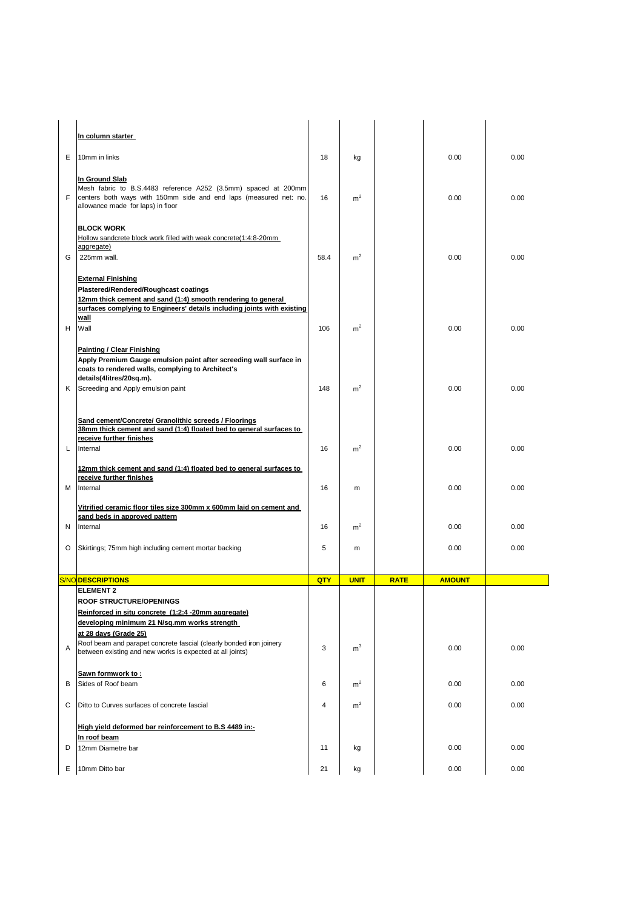|   | In column starter                                                                                                                                                                                                              |      |                |             |               |      |
|---|--------------------------------------------------------------------------------------------------------------------------------------------------------------------------------------------------------------------------------|------|----------------|-------------|---------------|------|
| Е | 10mm in links                                                                                                                                                                                                                  | 18   | kg             |             | 0.00          | 0.00 |
| F | In Ground Slab<br>Mesh fabric to B.S.4483 reference A252 (3.5mm) spaced at 200mm<br>centers both ways with 150mm side and end laps (measured net: no.<br>allowance made for laps) in floor                                     | 16   | m <sup>2</sup> |             | 0.00          | 0.00 |
| G | <b>BLOCK WORK</b><br>Hollow sandcrete block work filled with weak concrete(1:4:8-20mm<br>aggregate)<br>225mm wall.<br><b>External Finishing</b>                                                                                | 58.4 | m <sup>2</sup> |             | 0.00          | 0.00 |
| н | Plastered/Rendered/Roughcast coatings<br>12mm thick cement and sand (1:4) smooth rendering to general<br>surfaces complying to Engineers' details including joints with existing<br>wall<br>Wall                               | 106  | m <sup>2</sup> |             | 0.00          | 0.00 |
| Κ | <b>Painting / Clear Finishing</b><br>Apply Premium Gauge emulsion paint after screeding wall surface in<br>coats to rendered walls, complying to Architect's<br>details(4litres/20sq.m).<br>Screeding and Apply emulsion paint | 148  | m <sup>2</sup> |             | 0.00          | 0.00 |
|   |                                                                                                                                                                                                                                |      |                |             |               |      |
| L | Sand cement/Concrete/ Granolithic screeds / Floorings<br>38mm thick cement and sand (1:4) floated bed to general surfaces to<br>receive further finishes<br>Internal                                                           | 16   | m <sup>2</sup> |             | 0.00          | 0.00 |
| м | 12mm thick cement and sand (1:4) floated bed to general surfaces to<br>receive further finishes<br>Internal                                                                                                                    | 16   | m              |             | 0.00          | 0.00 |
|   | Vitrified ceramic floor tiles size 300mm x 600mm laid on cement and<br>sand beds in approved pattern                                                                                                                           |      |                |             |               |      |
| N | Internal                                                                                                                                                                                                                       | 16   | m <sup>2</sup> |             | 0.00          | 0.00 |
| O | Skirtings; 75mm high including cement mortar backing                                                                                                                                                                           | 5    | m              |             | 0.00          | 0.00 |
|   | <b>S/NO DESCRIPTIONS</b>                                                                                                                                                                                                       | QTY  | <b>UNIT</b>    | <b>RATE</b> | <b>AMOUNT</b> |      |
|   | <b>ELEMENT 2</b>                                                                                                                                                                                                               |      |                |             |               |      |
|   | <b>ROOF STRUCTURE/OPENINGS</b><br>Reinforced in situ concrete (1:2:4 -20mm aggregate)<br>developing minimum 21 N/sq.mm works strength                                                                                          |      |                |             |               |      |
| Α | at 28 days (Grade 25)<br>Roof beam and parapet concrete fascial (clearly bonded iron joinery<br>between existing and new works is expected at all joints)                                                                      | 3    | m <sup>3</sup> |             | 0.00          | 0.00 |
| В | Sawn formwork to:<br>Sides of Roof beam                                                                                                                                                                                        | 6    | m <sup>2</sup> |             | 0.00          | 0.00 |
| С | Ditto to Curves surfaces of concrete fascial                                                                                                                                                                                   | 4    | m <sup>2</sup> |             | 0.00          | 0.00 |
|   | High yield deformed bar reinforcement to B.S 4489 in:-<br>In roof beam                                                                                                                                                         |      |                |             |               |      |
| D | 12mm Diametre bar                                                                                                                                                                                                              | 11   | kg             |             | 0.00          | 0.00 |
|   | E 10mm Ditto bar                                                                                                                                                                                                               | 21   | kg             |             | 0.00          | 0.00 |